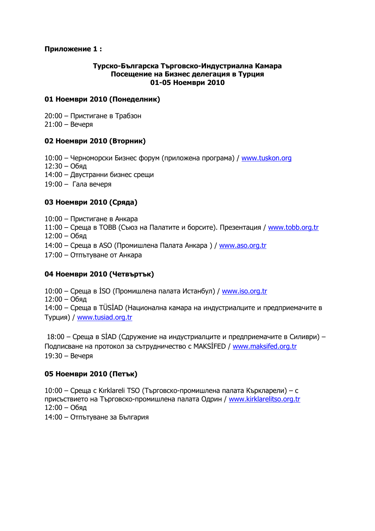# **Приложение 1 :**

#### **Турско-Българска Търговско-Индустриална Камара Посещение на Бизнес делегация в Турция 01-05 Ноември 2010**

#### **01 Ноември 2010 (Понеделник)**

20:00 – Пристигане в Трабзон 21:00 – Вечеря

# **02 Ноември 2010 (Вторник)**

10:00 – Черноморски Бизнес форум (приложена програма) / www.tuskon.org 12:30 – Обяд 14:00 – Двустранни бизнес срещи 19:00 – Гала вечеря

# **03 Ноември 2010 (Сряда)**

10:00 – Пристигане в Анкара 11:00 – Среща в TOBB (Съюз на Палатите и борсите). Презентация / www.tobb.org.tr 12:00 – Обяд 14:00 – Среща в ASO (Промишлена Палата Анкара ) / www.aso.org.tr 17:00 – Отпътуване от Анкара

# **04 Ноември 2010 (Четвъртък)**

10:00 – Среща в ISO (Промишлена палата Истанбул) / www.iso.org.tr 12:00 – Обяд 14:00 – Среща в TÜSİAD (Национална камара на индустриалците и предприемачите в Турция) / www.tusiad.org.tr

 18:00 – Среща в SİAD (Сдружение на индустриалците и предприемачите в Силиври) – Подписване на протокол за сътрудничество с MAKSİFED / www.maksifed.org.tr 19:30 – Вечеря

# **05 Ноември 2010 (Петък)**

10:00 – Среща с Kırklareli TSO (Търговско-промишлена палата Къркларели) – с присъствието на Търговско-промишлена палата Одрин / www.kirklarelitso.org.tr 12:00 – Обяд

14:00 – Отпътуване за България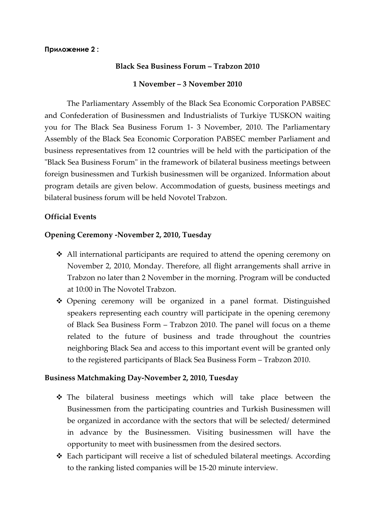#### **Приложение 2 :**

#### **Black Sea Business Forum – Trabzon 2010**

#### **1 November – 3 November 2010**

The Parliamentary Assembly of the Black Sea Economic Corporation PABSEC and Confederation of Businessmen and Industrialists of Turkiye TUSKON waiting you for The Black Sea Business Forum 1- 3 November, 2010. The Parliamentary Assembly of the Black Sea Economic Corporation PABSEC member Parliament and business representatives from 12 countries will be held with the participation of the "Black Sea Business Forum" in the framework of bilateral business meetings between foreign businessmen and Turkish businessmen will be organized. Information about program details are given below. Accommodation of guests, business meetings and bilateral business forum will be held Novotel Trabzon.

# **Official Events**

#### **Opening Ceremony -November 2, 2010, Tuesday**

- All international participants are required to attend the opening ceremony on November 2, 2010, Monday. Therefore, all flight arrangements shall arrive in Trabzon no later than 2 November in the morning. Program will be conducted at 10:00 in The Novotel Trabzon.
- Opening ceremony will be organized in a panel format. Distinguished speakers representing each country will participate in the opening ceremony of Black Sea Business Form – Trabzon 2010. The panel will focus on a theme related to the future of business and trade throughout the countries neighboring Black Sea and access to this important event will be granted only to the registered participants of Black Sea Business Form – Trabzon 2010.

# **Business Matchmaking Day-November 2, 2010, Tuesday**

- The bilateral business meetings which will take place between the Businessmen from the participating countries and Turkish Businessmen will be organized in accordance with the sectors that will be selected/ determined in advance by the Businessmen. Visiting businessmen will have the opportunity to meet with businessmen from the desired sectors.
- Each participant will receive a list of scheduled bilateral meetings. According to the ranking listed companies will be 15-20 minute interview.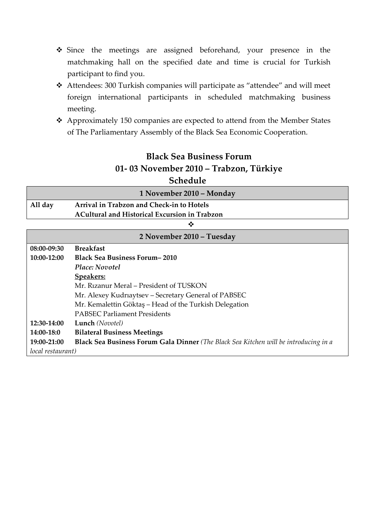- Since the meetings are assigned beforehand, your presence in the matchmaking hall on the specified date and time is crucial for Turkish participant to find you.
- Attendees: 300 Turkish companies will participate as "attendee" and will meet foreign international participants in scheduled matchmaking business meeting.
- Approximately 150 companies are expected to attend from the Member States of The Parliamentary Assembly of the Black Sea Economic Cooperation.

# **Black Sea Business Forum 01- 03 November 2010 – Trabzon, Türkiye Schedule**

|         | ----------                                           |  |
|---------|------------------------------------------------------|--|
|         | 1 November 2010 - Monday                             |  |
| All day | Arrival in Trabzon and Check-in to Hotels            |  |
|         | <b>ACultural and Historical Excursion in Trabzon</b> |  |
|         |                                                      |  |

| 2 November 2010 – Tuesday |                                                                                      |  |
|---------------------------|--------------------------------------------------------------------------------------|--|
| 08:00-09:30               | <b>Breakfast</b>                                                                     |  |
| 10:00-12:00               | <b>Black Sea Business Forum-2010</b>                                                 |  |
|                           | Place: Novotel                                                                       |  |
|                           | <b>Speakers:</b>                                                                     |  |
|                           | Mr. Rizanur Meral – President of TUSKON                                              |  |
|                           | Mr. Alexey Kudriaytsev - Secretary General of PABSEC                                 |  |
|                           | Mr. Kemalettin Göktaş – Head of the Turkish Delegation                               |  |
|                           | <b>PABSEC Parliament Presidents</b>                                                  |  |
| 12:30-14:00               | Lunch (Novotel)                                                                      |  |
| 14:00-18:0                | <b>Bilateral Business Meetings</b>                                                   |  |
| 19:00-21:00               | Black Sea Business Forum Gala Dinner (The Black Sea Kitchen will be introducing in a |  |
| local restaurant)         |                                                                                      |  |